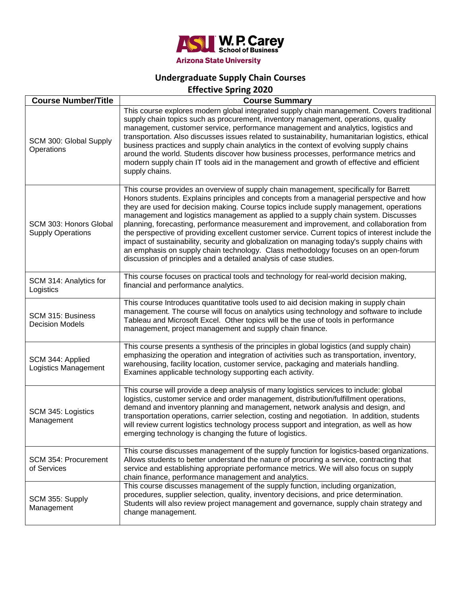

## **Undergraduate Supply Chain Courses**

**Effective Spring 2020**

| <b>Course Number/Title</b>                         | <b>Course Summary</b>                                                                                                                                                                                                                                                                                                                                                                                                                                                                                                                                                                                                                                                                                                                                                                                                   |
|----------------------------------------------------|-------------------------------------------------------------------------------------------------------------------------------------------------------------------------------------------------------------------------------------------------------------------------------------------------------------------------------------------------------------------------------------------------------------------------------------------------------------------------------------------------------------------------------------------------------------------------------------------------------------------------------------------------------------------------------------------------------------------------------------------------------------------------------------------------------------------------|
| SCM 300: Global Supply<br>Operations               | This course explores modern global integrated supply chain management. Covers traditional<br>supply chain topics such as procurement, inventory management, operations, quality<br>management, customer service, performance management and analytics, logistics and<br>transportation. Also discusses issues related to sustainability, humanitarian logistics, ethical<br>business practices and supply chain analytics in the context of evolving supply chains<br>around the world. Students discover how business processes, performance metrics and<br>modern supply chain IT tools aid in the management and growth of effective and efficient<br>supply chains.                                                                                                                                                 |
| SCM 303: Honors Global<br><b>Supply Operations</b> | This course provides an overview of supply chain management, specifically for Barrett<br>Honors students. Explains principles and concepts from a managerial perspective and how<br>they are used for decision making. Course topics include supply management, operations<br>management and logistics management as applied to a supply chain system. Discusses<br>planning, forecasting, performance measurement and improvement, and collaboration from<br>the perspective of providing excellent customer service. Current topics of interest include the<br>impact of sustainability, security and globalization on managing today's supply chains with<br>an emphasis on supply chain technology. Class methodology focuses on an open-forum<br>discussion of principles and a detailed analysis of case studies. |
| SCM 314: Analytics for<br>Logistics                | This course focuses on practical tools and technology for real-world decision making,<br>financial and performance analytics.                                                                                                                                                                                                                                                                                                                                                                                                                                                                                                                                                                                                                                                                                           |
| SCM 315: Business<br><b>Decision Models</b>        | This course Introduces quantitative tools used to aid decision making in supply chain<br>management. The course will focus on analytics using technology and software to include<br>Tableau and Microsoft Excel. Other topics will be the use of tools in performance<br>management, project management and supply chain finance.                                                                                                                                                                                                                                                                                                                                                                                                                                                                                       |
| SCM 344: Applied<br>Logistics Management           | This course presents a synthesis of the principles in global logistics (and supply chain)<br>emphasizing the operation and integration of activities such as transportation, inventory,<br>warehousing, facility location, customer service, packaging and materials handling.<br>Examines applicable technology supporting each activity.                                                                                                                                                                                                                                                                                                                                                                                                                                                                              |
| SCM 345: Logistics<br>Management                   | This course will provide a deep analysis of many logistics services to include: global<br>logistics, customer service and order management, distribution/fulfillment operations,<br>demand and inventory planning and management, network analysis and design, and<br>transportation operations, carrier selection, costing and negotiation. In addition, students<br>will review current logistics technology process support and integration, as well as how<br>emerging technology is changing the future of logistics.                                                                                                                                                                                                                                                                                              |
| SCM 354: Procurement<br>of Services                | This course discusses management of the supply function for logistics-based organizations.<br>Allows students to better understand the nature of procuring a service, contracting that<br>service and establishing appropriate performance metrics. We will also focus on supply<br>chain finance, performance management and analytics.                                                                                                                                                                                                                                                                                                                                                                                                                                                                                |
| SCM 355: Supply<br>Management                      | This course discusses management of the supply function, including organization,<br>procedures, supplier selection, quality, inventory decisions, and price determination.<br>Students will also review project management and governance, supply chain strategy and<br>change management.                                                                                                                                                                                                                                                                                                                                                                                                                                                                                                                              |